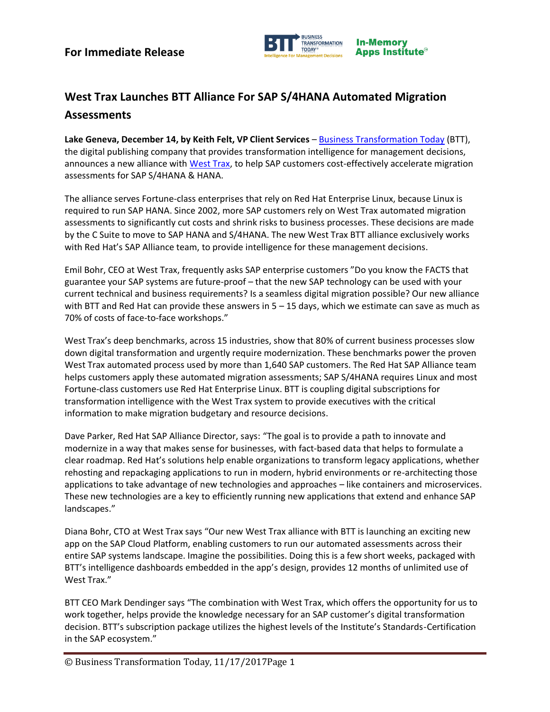

## **West Trax Launches BTT Alliance For SAP S/4HANA Automated Migration Assessments**

**Lake Geneva, December 14, by Keith Felt, VP Client Services** – [Business Transformation Today](http://www.biztrantoday.com/) (BTT), the digital publishing company that provides transformation intelligence for management decisions, announces a new alliance with [West Trax,](http://www.westtrax.com/) to help SAP customers cost-effectively accelerate migration assessments for SAP S/4HANA & HANA.

The alliance serves Fortune-class enterprises that rely on Red Hat Enterprise Linux, because Linux is required to run SAP HANA. Since 2002, more SAP customers rely on West Trax automated migration assessments to significantly cut costs and shrink risks to business processes. These decisions are made by the C Suite to move to SAP HANA and S/4HANA. The new West Trax BTT alliance exclusively works with Red Hat's SAP Alliance team, to provide intelligence for these management decisions.

Emil Bohr, CEO at West Trax, frequently asks SAP enterprise customers "Do you know the FACTS that guarantee your SAP systems are future-proof – that the new SAP technology can be used with your current technical and business requirements? Is a seamless digital migration possible? Our new alliance with BTT and Red Hat can provide these answers in  $5 - 15$  days, which we estimate can save as much as 70% of costs of face-to-face workshops."

West Trax's deep benchmarks, across 15 industries, show that 80% of current business processes slow down digital transformation and urgently require modernization. These benchmarks power the proven West Trax automated process used by more than 1,640 SAP customers. The Red Hat SAP Alliance team helps customers apply these automated migration assessments; SAP S/4HANA requires Linux and most Fortune-class customers use Red Hat Enterprise Linux. BTT is coupling digital subscriptions for transformation intelligence with the West Trax system to provide executives with the critical information to make migration budgetary and resource decisions.

Dave Parker, Red Hat SAP Alliance Director, says: "The goal is to provide a path to innovate and modernize in a way that makes sense for businesses, with fact-based data that helps to formulate a clear roadmap. Red Hat's solutions help enable organizations to transform legacy applications, whether rehosting and repackaging applications to run in modern, hybrid environments or re-architecting those applications to take advantage of new technologies and approaches – like containers and microservices. These new technologies are a key to efficiently running new applications that extend and enhance SAP landscapes."

Diana Bohr, CTO at West Trax says "Our new West Trax alliance with BTT is launching an exciting new app on the SAP Cloud Platform, enabling customers to run our automated assessments across their entire SAP systems landscape. Imagine the possibilities. Doing this is a few short weeks, packaged with BTT's intelligence dashboards embedded in the app's design, provides 12 months of unlimited use of West Trax."

BTT CEO Mark Dendinger says "The combination with West Trax, which offers the opportunity for us to work together, helps provide the knowledge necessary for an SAP customer's digital transformation decision. BTT's subscription package utilizes the highest levels of the Institute's Standards-Certification in the SAP ecosystem."